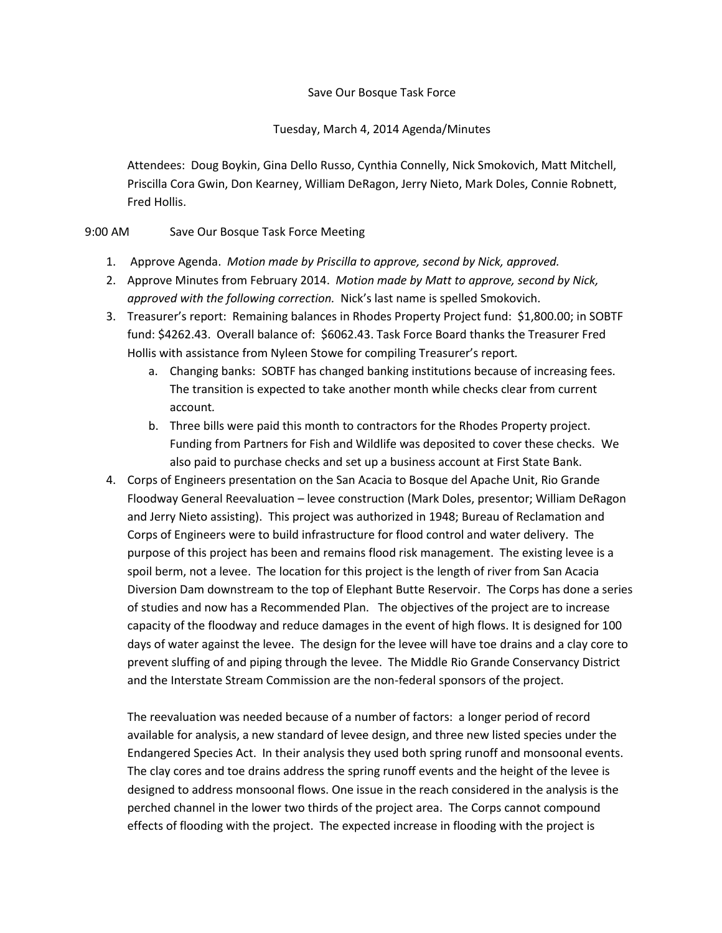## Save Our Bosque Task Force

## Tuesday, March 4, 2014 Agenda/Minutes

Attendees: Doug Boykin, Gina Dello Russo, Cynthia Connelly, Nick Smokovich, Matt Mitchell, Priscilla Cora Gwin, Don Kearney, William DeRagon, Jerry Nieto, Mark Doles, Connie Robnett, Fred Hollis.

## 9:00 AM Save Our Bosque Task Force Meeting

- 1. Approve Agenda. *Motion made by Priscilla to approve, second by Nick, approved.*
- 2. Approve Minutes from February 2014. *Motion made by Matt to approve, second by Nick, approved with the following correction.* Nick's last name is spelled Smokovich.
- 3. Treasurer's report: Remaining balances in Rhodes Property Project fund: \$1,800.00; in SOBTF fund: \$4262.43. Overall balance of: \$6062.43. Task Force Board thanks the Treasurer Fred Hollis with assistance from Nyleen Stowe for compiling Treasurer's report*.*
	- a. Changing banks: SOBTF has changed banking institutions because of increasing fees. The transition is expected to take another month while checks clear from current account*.*
	- b. Three bills were paid this month to contractors for the Rhodes Property project. Funding from Partners for Fish and Wildlife was deposited to cover these checks. We also paid to purchase checks and set up a business account at First State Bank.
- 4. Corps of Engineers presentation on the San Acacia to Bosque del Apache Unit, Rio Grande Floodway General Reevaluation – levee construction (Mark Doles, presentor; William DeRagon and Jerry Nieto assisting). This project was authorized in 1948; Bureau of Reclamation and Corps of Engineers were to build infrastructure for flood control and water delivery. The purpose of this project has been and remains flood risk management. The existing levee is a spoil berm, not a levee. The location for this project is the length of river from San Acacia Diversion Dam downstream to the top of Elephant Butte Reservoir. The Corps has done a series of studies and now has a Recommended Plan. The objectives of the project are to increase capacity of the floodway and reduce damages in the event of high flows. It is designed for 100 days of water against the levee. The design for the levee will have toe drains and a clay core to prevent sluffing of and piping through the levee. The Middle Rio Grande Conservancy District and the Interstate Stream Commission are the non-federal sponsors of the project.

The reevaluation was needed because of a number of factors: a longer period of record available for analysis, a new standard of levee design, and three new listed species under the Endangered Species Act. In their analysis they used both spring runoff and monsoonal events. The clay cores and toe drains address the spring runoff events and the height of the levee is designed to address monsoonal flows. One issue in the reach considered in the analysis is the perched channel in the lower two thirds of the project area. The Corps cannot compound effects of flooding with the project. The expected increase in flooding with the project is